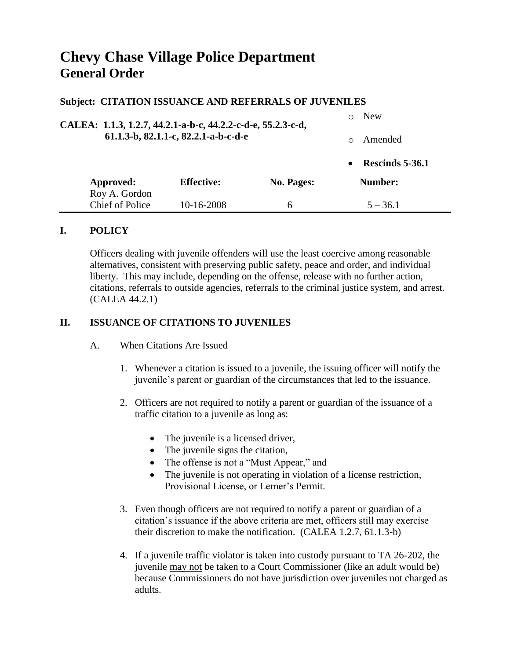# **Chevy Chase Village Police Department General Order**

#### **Subject: CITATION ISSUANCE AND REFERRALS OF JUVENILES**

| CALEA: 1.1.3, 1.2.7, 44.2.1-a-b-c, 44.2.2-c-d-e, 55.2.3-c-d,<br>61.1.3-b, 82.1.1-c, 82.2.1-a-b-c-d-e |                   |            | <b>New</b> |                 |  |
|------------------------------------------------------------------------------------------------------|-------------------|------------|------------|-----------------|--|
|                                                                                                      |                   |            | ∩          | Amended         |  |
|                                                                                                      |                   |            | $\bullet$  | Rescinds 5-36.1 |  |
| Approved:<br>Roy A. Gordon                                                                           | <b>Effective:</b> | No. Pages: |            | Number:         |  |
| <b>Chief of Police</b>                                                                               | 10-16-2008        | 6          |            | $5 - 36.1$      |  |

#### **I. POLICY**

Officers dealing with juvenile offenders will use the least coercive among reasonable alternatives, consistent with preserving public safety, peace and order, and individual liberty. This may include, depending on the offense, release with no further action, citations, referrals to outside agencies, referrals to the criminal justice system, and arrest. (CALEA 44.2.1)

## **II. ISSUANCE OF CITATIONS TO JUVENILES**

- A. When Citations Are Issued
	- 1. Whenever a citation is issued to a juvenile, the issuing officer will notify the juvenile's parent or guardian of the circumstances that led to the issuance.
	- 2. Officers are not required to notify a parent or guardian of the issuance of a traffic citation to a juvenile as long as:
		- The juvenile is a licensed driver,
		- The juvenile signs the citation,
		- The offense is not a "Must Appear," and
		- The juvenile is not operating in violation of a license restriction, Provisional License, or Lerner's Permit.
	- 3. Even though officers are not required to notify a parent or guardian of a citation's issuance if the above criteria are met, officers still may exercise their discretion to make the notification. (CALEA 1.2.7, 61.1.3-b)
	- 4. If a juvenile traffic violator is taken into custody pursuant to TA 26-202, the juvenile may not be taken to a Court Commissioner (like an adult would be) because Commissioners do not have jurisdiction over juveniles not charged as adults.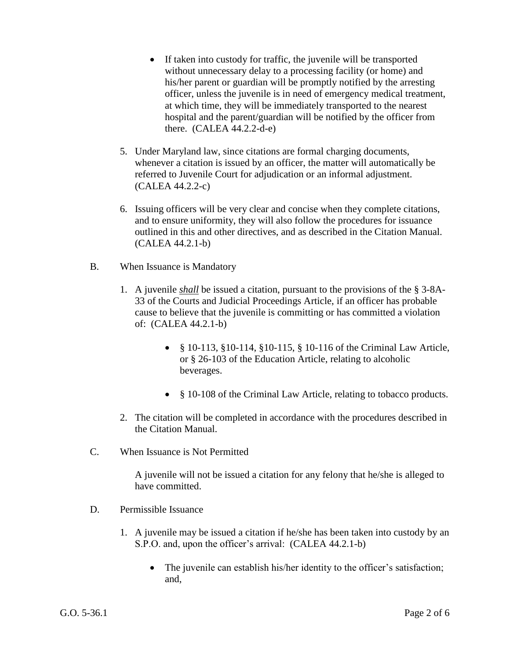- If taken into custody for traffic, the juvenile will be transported without unnecessary delay to a processing facility (or home) and his/her parent or guardian will be promptly notified by the arresting officer, unless the juvenile is in need of emergency medical treatment, at which time, they will be immediately transported to the nearest hospital and the parent/guardian will be notified by the officer from there. (CALEA 44.2.2-d-e)
- 5. Under Maryland law, since citations are formal charging documents, whenever a citation is issued by an officer, the matter will automatically be referred to Juvenile Court for adjudication or an informal adjustment. (CALEA 44.2.2-c)
- 6. Issuing officers will be very clear and concise when they complete citations, and to ensure uniformity, they will also follow the procedures for issuance outlined in this and other directives, and as described in the Citation Manual. (CALEA 44.2.1-b)
- B. When Issuance is Mandatory
	- 1. A juvenile *shall* be issued a citation, pursuant to the provisions of the § 3-8A-33 of the Courts and Judicial Proceedings Article, if an officer has probable cause to believe that the juvenile is committing or has committed a violation of: (CALEA 44.2.1-b)
		- § 10-113, §10-114, §10-115, § 10-116 of the Criminal Law Article, or § 26-103 of the Education Article, relating to alcoholic beverages.
		- § 10-108 of the Criminal Law Article, relating to tobacco products.
	- 2. The citation will be completed in accordance with the procedures described in the Citation Manual.
- C. When Issuance is Not Permitted

A juvenile will not be issued a citation for any felony that he/she is alleged to have committed.

- D. Permissible Issuance
	- 1. A juvenile may be issued a citation if he/she has been taken into custody by an S.P.O. and, upon the officer's arrival: (CALEA 44.2.1-b)
		- The juvenile can establish his/her identity to the officer's satisfaction; and,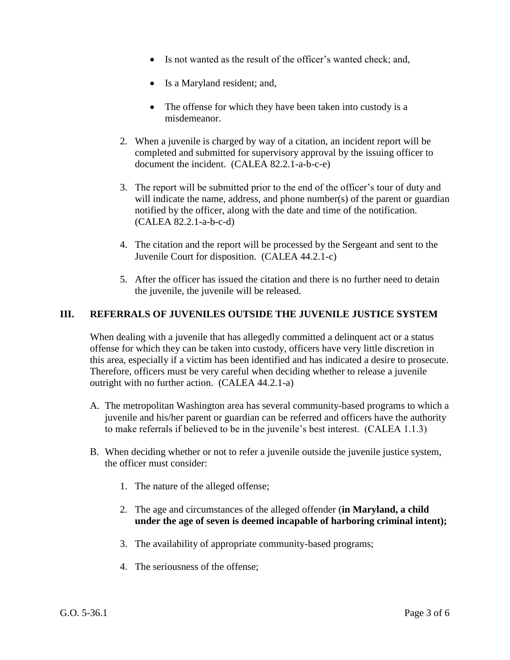- Is not wanted as the result of the officer's wanted check; and,
- Is a Maryland resident; and,
- The offense for which they have been taken into custody is a misdemeanor.
- 2. When a juvenile is charged by way of a citation, an incident report will be completed and submitted for supervisory approval by the issuing officer to document the incident. (CALEA 82.2.1-a-b-c-e)
- 3. The report will be submitted prior to the end of the officer's tour of duty and will indicate the name, address, and phone number(s) of the parent or guardian notified by the officer, along with the date and time of the notification. (CALEA 82.2.1-a-b-c-d)
- 4. The citation and the report will be processed by the Sergeant and sent to the Juvenile Court for disposition. (CALEA 44.2.1-c)
- 5. After the officer has issued the citation and there is no further need to detain the juvenile, the juvenile will be released.

## **III. REFERRALS OF JUVENILES OUTSIDE THE JUVENILE JUSTICE SYSTEM**

When dealing with a juvenile that has allegedly committed a delinquent act or a status offense for which they can be taken into custody, officers have very little discretion in this area, especially if a victim has been identified and has indicated a desire to prosecute. Therefore, officers must be very careful when deciding whether to release a juvenile outright with no further action. (CALEA 44.2.1-a)

- A. The metropolitan Washington area has several community-based programs to which a juvenile and his/her parent or guardian can be referred and officers have the authority to make referrals if believed to be in the juvenile's best interest. (CALEA 1.1.3)
- B. When deciding whether or not to refer a juvenile outside the juvenile justice system, the officer must consider:
	- 1. The nature of the alleged offense;
	- 2. The age and circumstances of the alleged offender (**in Maryland, a child under the age of seven is deemed incapable of harboring criminal intent);**
	- 3. The availability of appropriate community-based programs;
	- 4. The seriousness of the offense;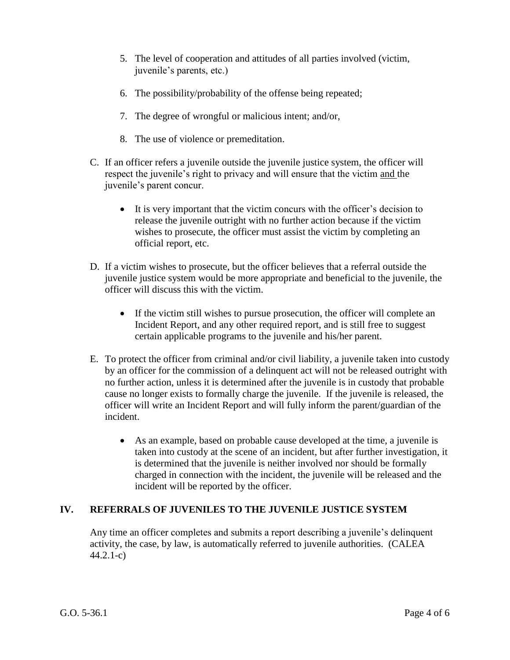- 5. The level of cooperation and attitudes of all parties involved (victim, juvenile's parents, etc.)
- 6. The possibility/probability of the offense being repeated;
- 7. The degree of wrongful or malicious intent; and/or,
- 8. The use of violence or premeditation.
- C. If an officer refers a juvenile outside the juvenile justice system, the officer will respect the juvenile's right to privacy and will ensure that the victim and the juvenile's parent concur.
	- It is very important that the victim concurs with the officer's decision to release the juvenile outright with no further action because if the victim wishes to prosecute, the officer must assist the victim by completing an official report, etc.
- D. If a victim wishes to prosecute, but the officer believes that a referral outside the juvenile justice system would be more appropriate and beneficial to the juvenile, the officer will discuss this with the victim.
	- If the victim still wishes to pursue prosecution, the officer will complete an Incident Report, and any other required report, and is still free to suggest certain applicable programs to the juvenile and his/her parent.
- E. To protect the officer from criminal and/or civil liability, a juvenile taken into custody by an officer for the commission of a delinquent act will not be released outright with no further action, unless it is determined after the juvenile is in custody that probable cause no longer exists to formally charge the juvenile. If the juvenile is released, the officer will write an Incident Report and will fully inform the parent/guardian of the incident.
	- As an example, based on probable cause developed at the time, a juvenile is taken into custody at the scene of an incident, but after further investigation, it is determined that the juvenile is neither involved nor should be formally charged in connection with the incident, the juvenile will be released and the incident will be reported by the officer.

# **IV. REFERRALS OF JUVENILES TO THE JUVENILE JUSTICE SYSTEM**

Any time an officer completes and submits a report describing a juvenile's delinquent activity, the case, by law, is automatically referred to juvenile authorities. (CALEA 44.2.1-c)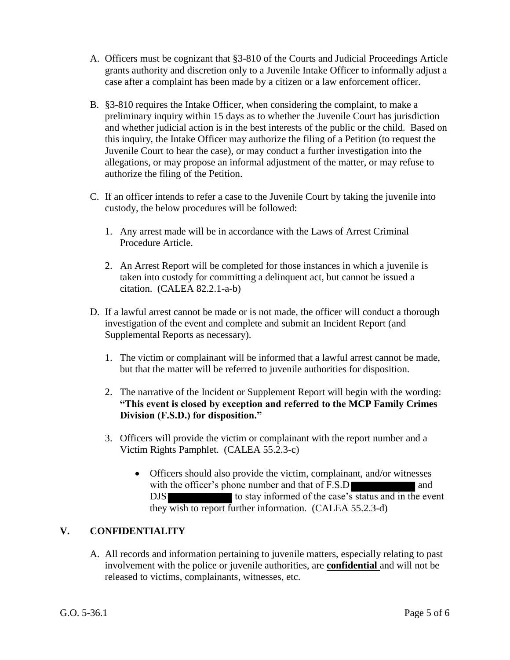- A. Officers must be cognizant that §3-810 of the Courts and Judicial Proceedings Article grants authority and discretion only to a Juvenile Intake Officer to informally adjust a case after a complaint has been made by a citizen or a law enforcement officer.
- B. §3-810 requires the Intake Officer, when considering the complaint, to make a preliminary inquiry within 15 days as to whether the Juvenile Court has jurisdiction and whether judicial action is in the best interests of the public or the child. Based on this inquiry, the Intake Officer may authorize the filing of a Petition (to request the Juvenile Court to hear the case), or may conduct a further investigation into the allegations, or may propose an informal adjustment of the matter, or may refuse to authorize the filing of the Petition.
- C. If an officer intends to refer a case to the Juvenile Court by taking the juvenile into custody, the below procedures will be followed:
	- 1. Any arrest made will be in accordance with the Laws of Arrest Criminal Procedure Article.
	- 2. An Arrest Report will be completed for those instances in which a juvenile is taken into custody for committing a delinquent act, but cannot be issued a citation. (CALEA 82.2.1-a-b)
- D. If a lawful arrest cannot be made or is not made, the officer will conduct a thorough investigation of the event and complete and submit an Incident Report (and Supplemental Reports as necessary).
	- 1. The victim or complainant will be informed that a lawful arrest cannot be made, but that the matter will be referred to juvenile authorities for disposition.
	- 2. The narrative of the Incident or Supplement Report will begin with the wording: **"This event is closed by exception and referred to the MCP Family Crimes Division (F.S.D.) for disposition."**
	- 3. Officers will provide the victim or complainant with the report number and a Victim Rights Pamphlet. (CALEA 55.2.3-c)
		- Officers should also provide the victim, complainant, and/or witnesses with the officer's phone number and that of F.S.D and DJS to stay informed of the case's status and in the event they wish to report further information. (CALEA 55.2.3-d)

# **V. CONFIDENTIALITY**

A. All records and information pertaining to juvenile matters, especially relating to past involvement with the police or juvenile authorities, are **confidential** and will not be released to victims, complainants, witnesses, etc.